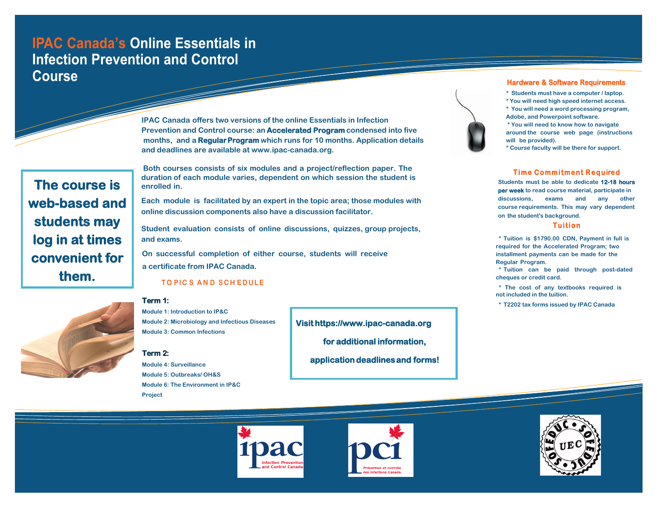# **IPAC Canada's Online Essentials in Infection Prevention and Control Course**

**IPAC Canada offers two versions of the online Essentials in Infection Prevention and Control course: an Accelerated Program condensed into five months, and a Regular Program which runs for 10 months. Application details and deadlines are available at www.ipac-canada.org.**

**The course is web-based and students may log in at times convenient for them.** 

**Both courses consists of six modules and a project/reflection paper. The duration of each module varies, dependent on which session the student is enrolled in.** 

**Each module is facilitated by an expert in the topic area; those modules with online discussion components also have a discussion facilitator.**

**Student evaluation consists of online discussions, quizzes, group projects, and exams.**

**On successful completion of either course, students will receive a certificate from IPAC Canada.**

### **TO PIC S A N D S C H E D ULE**



## **Term 1:**

**Module 1: Introduction to IP&C Module 2: Microbiology and Infectious Diseases Module 3: Common Infections** 

### **Term 2:**

**Module 4: Surveillance Module 5: Outbreaks/ OH&S Module 6: The Environment in IP&C Project**

**Visit https://www.ipac-canada.org for additional information, application deadlines and forms!** 



#### **Hardware & Software Requirements**

- **\* Students must have a computer / laptop.**
- **\* You will need high speed internet access.**
- **\* You will need a word processing program, Adobe, and Powerpoint software.**
- **\* You will need to know how to navigate around the course web page (instructions will be provided).**
- **\* Course faculty will be there for support.**

# **Time Commitment Required**

**Students must be able to dedicate 12-18 hours per week to read course material, participate in discussions, exams and any other course requirements. This may vary dependent on the student's background.**

#### **Tuition**

**\* Tuition is \$1790.00 CDN, Payment in full is required for the Accelerated Program; two installment payments can be made for the Regular Program.**

**\* Tuition can be paid through post-dated cheques or credit card.**

**\* The cost of any textbooks required is not included in the tuition.**

**\* T2202 tax forms issued by IPAC Canada**